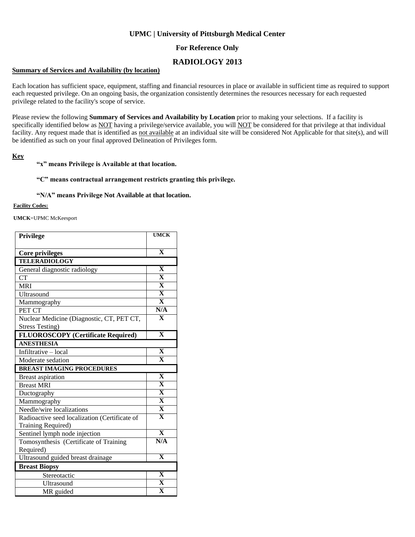# **UPMC | University of Pittsburgh Medical Center**

## **For Reference Only**

# **RADIOLOGY 2013**

#### **Summary of Services and Availability (by location)**

Each location has sufficient space, equipment, staffing and financial resources in place or available in sufficient time as required to support each requested privilege. On an ongoing basis, the organization consistently determines the resources necessary for each requested privilege related to the facility's scope of service.

Please review the following **Summary of Services and Availability by Location** prior to making your selections. If a facility is specifically identified below as NOT having a privilege/service available, you will NOT be considered for that privilege at that individual facility. Any request made that is identified as not available at an individual site will be considered Not Applicable for that site(s), and will be identified as such on your final approved Delineation of Privileges form.

#### **Key**

### **"x" means Privilege is Available at that location.**

#### **"C" means contractual arrangement restricts granting this privilege.**

#### **"N/A" means Privilege Not Available at that location.**

#### **Facility Codes:**

**UMCK**=UPMC McKeesport

| Privilege                                     | <b>UMCK</b>                                        |
|-----------------------------------------------|----------------------------------------------------|
| <b>Core privileges</b>                        | $\overline{\mathbf{X}}$                            |
| <b>TELERADIOLOGY</b>                          |                                                    |
| General diagnostic radiology                  | $\mathbf{X}$                                       |
| <b>CT</b>                                     | $\overline{\mathbf{X}}$                            |
| <b>MRI</b>                                    | $\overline{\mathbf{X}}$                            |
| Ultrasound                                    | $\overline{\mathbf{X}}$                            |
| Mammography                                   | $\overline{\mathbf{X}}$                            |
| PET CT                                        | N/A                                                |
| Nuclear Medicine (Diagnostic, CT, PET CT,     | $\mathbf{X}$                                       |
| <b>Stress Testing)</b>                        |                                                    |
| <b>FLUOROSCOPY</b> (Certificate Required)     | $\overline{\mathbf{X}}$                            |
| <b>ANESTHESIA</b>                             |                                                    |
| Infiltrative - local                          | $\overline{\mathbf{X}}$                            |
| Moderate sedation                             | $\overline{\mathbf{X}}$                            |
| <b>BREAST IMAGING PROCEDURES</b>              |                                                    |
| <b>Breast aspiration</b>                      | $\mathbf X$                                        |
| <b>Breast MRI</b>                             | $\overline{\mathbf{X}}$                            |
| Ductography                                   | $\overline{\mathbf{X}}$                            |
| Mammography                                   | $\overline{\mathbf{X}}$                            |
| Needle/wire localizations                     | $\overline{\mathbf{X}}$                            |
| Radioactive seed localization (Certificate of | $\overline{\mathbf{X}}$                            |
| Training Required)                            |                                                    |
| Sentinel lymph node injection                 | $\overline{\mathbf{X}}$                            |
| Tomosynthesis (Certificate of Training        | N/A                                                |
| Required)                                     |                                                    |
| Ultrasound guided breast drainage             | $\overline{\mathbf{X}}$                            |
| <b>Breast Biopsy</b>                          |                                                    |
| Stereotactic                                  | $\overline{\mathbf{X}}$                            |
|                                               |                                                    |
| Ultrasound                                    | $\overline{\mathbf{X}}$<br>$\overline{\textbf{X}}$ |